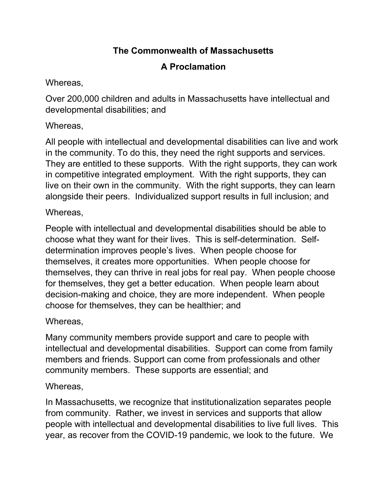## **The Commonwealth of Massachusetts**

# **A Proclamation**

### Whereas,

Over 200,000 children and adults in Massachusetts have intellectual and developmental disabilities; and

## Whereas,

All people with intellectual and developmental disabilities can live and work in the community. To do this, they need the right supports and services. They are entitled to these supports. With the right supports, they can work in competitive integrated employment. With the right supports, they can live on their own in the community. With the right supports, they can learn alongside their peers. Individualized support results in full inclusion; and

## Whereas,

People with intellectual and developmental disabilities should be able to choose what they want for their lives. This is self-determination. Selfdetermination improves people's lives. When people choose for themselves, it creates more opportunities. When people choose for themselves, they can thrive in real jobs for real pay. When people choose for themselves, they get a better education. When people learn about decision-making and choice, they are more independent. When people choose for themselves, they can be healthier; and

#### Whereas,

Many community members provide support and care to people with intellectual and developmental disabilities. Support can come from family members and friends. Support can come from professionals and other community members. These supports are essential; and

#### Whereas,

In Massachusetts, we recognize that institutionalization separates people from community. Rather, we invest in services and supports that allow people with intellectual and developmental disabilities to live full lives. This year, as recover from the COVID-19 pandemic, we look to the future. We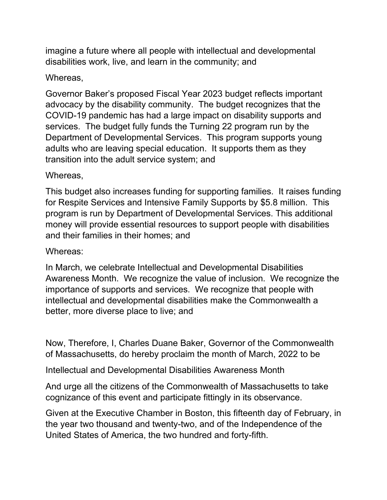imagine a future where all people with intellectual and developmental disabilities work, live, and learn in the community; and

#### Whereas,

Governor Baker's proposed Fiscal Year 2023 budget reflects important advocacy by the disability community. The budget recognizes that the COVID-19 pandemic has had a large impact on disability supports and services. The budget fully funds the Turning 22 program run by the Department of Developmental Services. This program supports young adults who are leaving special education. It supports them as they transition into the adult service system; and

#### Whereas,

This budget also increases funding for supporting families. It raises funding for Respite Services and Intensive Family Supports by \$5.8 million. This program is run by Department of Developmental Services. This additional money will provide essential resources to support people with disabilities and their families in their homes; and

#### Whereas:

In March, we celebrate Intellectual and Developmental Disabilities Awareness Month. We recognize the value of inclusion. We recognize the importance of supports and services. We recognize that people with intellectual and developmental disabilities make the Commonwealth a better, more diverse place to live; and

Now, Therefore, I, Charles Duane Baker, Governor of the Commonwealth of Massachusetts, do hereby proclaim the month of March, 2022 to be

Intellectual and Developmental Disabilities Awareness Month

And urge all the citizens of the Commonwealth of Massachusetts to take cognizance of this event and participate fittingly in its observance.

Given at the Executive Chamber in Boston, this fifteenth day of February, in the year two thousand and twenty-two, and of the Independence of the United States of America, the two hundred and forty-fifth.